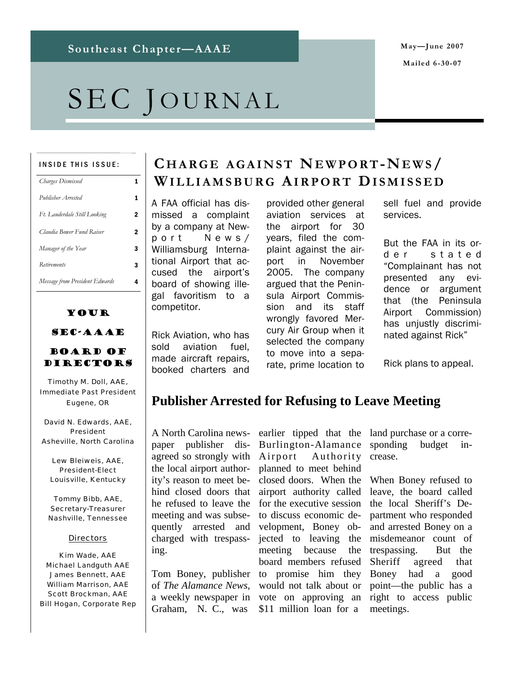# SEC JOURNAL

#### INSIDE THIS ISSUE:

| <b>Charges Dismissed</b>       |   |
|--------------------------------|---|
| Publisher Arrested             |   |
| Ft. Lauderdale Still Looking   | 2 |
| Claudia Bower Fund Raiser      | 2 |
| Manager of the Year            | 3 |
| <b>Retirements</b>             | 3 |
| Message from President Edwards |   |

#### Your

SEC-AAAE

#### Board of DIRECTORS

Timothy M. Doll, AAE, Immediate Past President Eugene, OR

David N. Edwards, AAE, President Asheville, North Carolina

Lew Bleiweis, AAE, President-Elect Louisville, Kentucky

Tommy Bibb, AAE, Secretary-Treasurer Nashville, Tennessee

#### **Directors**

Kim Wade, AAE Michael Landguth AAE James Bennett, AAE William Marrison, AAE Scott Brockman, AAE Bill Hogan, Corporate Rep

### **C HARGE AGAINST NEWPORT-NEWS/ WILLIAMSBURG AIRPORT DISMISSED**

A FAA official has dismissed a complaint by a company at Newport News/ Williamsburg International Airport that accused the airport's board of showing illegal favoritism to a competitor.

Rick Aviation, who has sold aviation fuel, made aircraft repairs, booked charters and provided other general aviation services at the airport for 30 years, filed the complaint against the airport in November 2005. The company argued that the Peninsula Airport Commission and its staff wrongly favored Mercury Air Group when it selected the company to move into a separate, prime location to

sell fuel and provide services.

But the FAA in its ord e r stated "Complainant has not presented any evidence or argument that (the Peninsula Airport Commission) has unjustly discriminated against Rick"

Rick plans to appeal.

### **Publisher Arrested for Refusing to Leave Meeting**

A North Carolina newspaper publisher disagreed so strongly with the local airport authority's reason to meet behind closed doors that he refused to leave the meeting and was subsequently arrested and charged with trespassing.

Tom Boney, publisher of *The Alamance News*, a weekly newspaper in Graham, N. C., was

earlier tipped that the Burlington-Alamance Airport Authority planned to meet behind closed doors. When the When Boney refused to airport authority called leave, the board called for the executive session to discuss economic development, Boney objected to leaving the meeting because board members refused to promise him they would not talk about or vote on approving an \$11 million loan for a

land purchase or a corresponding budget increase.

the local Sheriff's Department who responded and arrested Boney on a misdemeanor count of the trespassing. But the Sheriff agreed that Boney had a good point—the public has a right to access public meetings.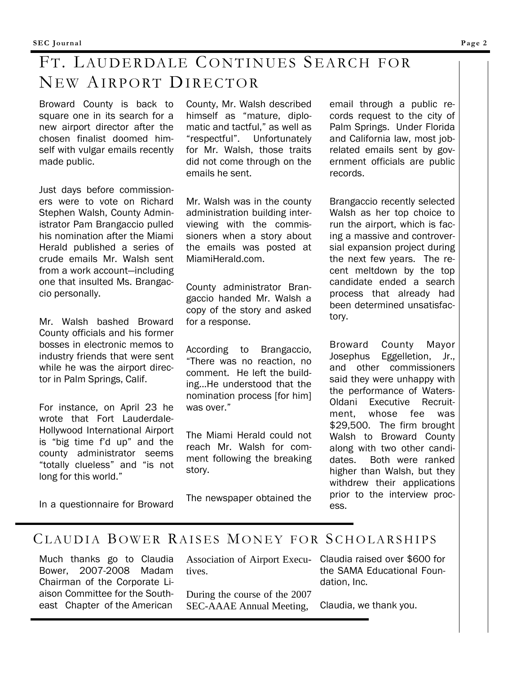# FT. LAUDERDALE CONTINUES SEARCH FOR NEW AIRPORT DIRECTOR

Broward County is back to square one in its search for a new airport director after the chosen finalist doomed himself with vulgar emails recently made public.

Just days before commissioners were to vote on Richard Stephen Walsh, County Administrator Pam Brangaccio pulled his nomination after the Miami Herald published a series of crude emails Mr. Walsh sent from a work account—including one that insulted Ms. Brangaccio personally.

Mr. Walsh bashed Broward County officials and his former bosses in electronic memos to industry friends that were sent while he was the airport director in Palm Springs, Calif.

For instance, on April 23 he wrote that Fort Lauderdale-Hollywood International Airport is "big time f'd up" and the county administrator seems "totally clueless" and "is not long for this world."

In a questionnaire for Broward

County, Mr. Walsh described himself as "mature, diplomatic and tactful," as well as "respectful". Unfortunately for Mr. Walsh, those traits did not come through on the emails he sent.

Mr. Walsh was in the county administration building interviewing with the commissioners when a story about the emails was posted at MiamiHerald.com.

County administrator Brangaccio handed Mr. Walsh a copy of the story and asked for a response.

According to Brangaccio, "There was no reaction, no comment. He left the building...He understood that the nomination process [for him] was over."

The Miami Herald could not reach Mr. Walsh for comment following the breaking story.

The newspaper obtained the

email through a public records request to the city of Palm Springs. Under Florida and California law, most jobrelated emails sent by government officials are public records.

Brangaccio recently selected Walsh as her top choice to run the airport, which is facing a massive and controversial expansion project during the next few years. The recent meltdown by the top candidate ended a search process that already had been determined unsatisfactory.

Broward County Mayor Josephus Eggelletion, Jr., and other commissioners said they were unhappy with the performance of Waters-Oldani Executive Recruitment, whose fee was \$29,500. The firm brought Walsh to Broward County along with two other candidates. Both were ranked higher than Walsh, but they withdrew their applications prior to the interview process.

### CLAUDIA BOWER RAISES MONEY FOR SCHOLARSHIPS

Much thanks go to Claudia Bower, 2007-2008 Madam Chairman of the Corporate Liaison Committee for the Southeast Chapter of the American

|                                                 | Association of Airport Execu- Claudia raised over \$600 for |
|-------------------------------------------------|-------------------------------------------------------------|
| tives.                                          | the SAMA Educational Foun-<br>dation, Inc.                  |
| During the course of the 2007                   |                                                             |
| SEC-AAAE Annual Meeting, Claudia, we thank you. |                                                             |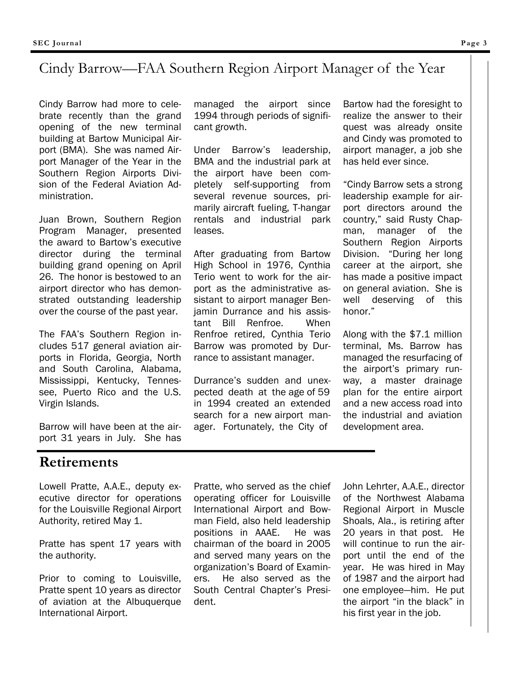### Cindy Barrow—FAA Southern Region Airport Manager of the Year

Cindy Barrow had more to celebrate recently than the grand opening of the new terminal building at Bartow Municipal Airport (BMA). She was named Airport Manager of the Year in the Southern Region Airports Division of the Federal Aviation Administration.

Juan Brown, Southern Region Program Manager, presented the award to Bartow's executive director during the terminal building grand opening on April 26. The honor is bestowed to an airport director who has demonstrated outstanding leadership over the course of the past year.

The FAA's Southern Region includes 517 general aviation airports in Florida, Georgia, North and South Carolina, Alabama, Mississippi, Kentucky, Tennessee, Puerto Rico and the U.S. Virgin Islands.

Barrow will have been at the airport 31 years in July. She has

### **Retirements**

Lowell Pratte, A.A.E., deputy executive director for operations for the Louisville Regional Airport Authority, retired May 1.

Pratte has spent 17 years with the authority.

Prior to coming to Louisville, Pratte spent 10 years as director of aviation at the Albuquerque International Airport.

managed the airport since 1994 through periods of significant growth.

Under Barrow's leadership, BMA and the industrial park at the airport have been completely self-supporting from several revenue sources, primarily aircraft fueling, T-hangar rentals and industrial park leases.

After graduating from Bartow High School in 1976, Cynthia Terio went to work for the airport as the administrative assistant to airport manager Benjamin Durrance and his assistant Bill Renfroe. When Renfroe retired, Cynthia Terio Barrow was promoted by Durrance to assistant manager.

Durrance's sudden and unexpected death at the age of 59 in 1994 created an extended search for a new airport manager. Fortunately, the City of

Bartow had the foresight to realize the answer to their quest was already onsite and Cindy was promoted to airport manager, a job she has held ever since.

"Cindy Barrow sets a strong leadership example for airport directors around the country," said Rusty Chapman, manager of the Southern Region Airports Division. "During her long career at the airport, she has made a positive impact on general aviation. She is well deserving of this honor."

Along with the \$7.1 million terminal, Ms. Barrow has managed the resurfacing of the airport's primary runway, a master drainage plan for the entire airport and a new access road into the industrial and aviation development area.

Pratte, who served as the chief operating officer for Louisville International Airport and Bowman Field, also held leadership positions in AAAE. He was chairman of the board in 2005 and served many years on the organization's Board of Examiners. He also served as the South Central Chapter's President.

John Lehrter, A.A.E., director of the Northwest Alabama Regional Airport in Muscle Shoals, Ala., is retiring after 20 years in that post. He will continue to run the airport until the end of the year. He was hired in May of 1987 and the airport had one employee—him. He put the airport "in the black" in his first year in the job.